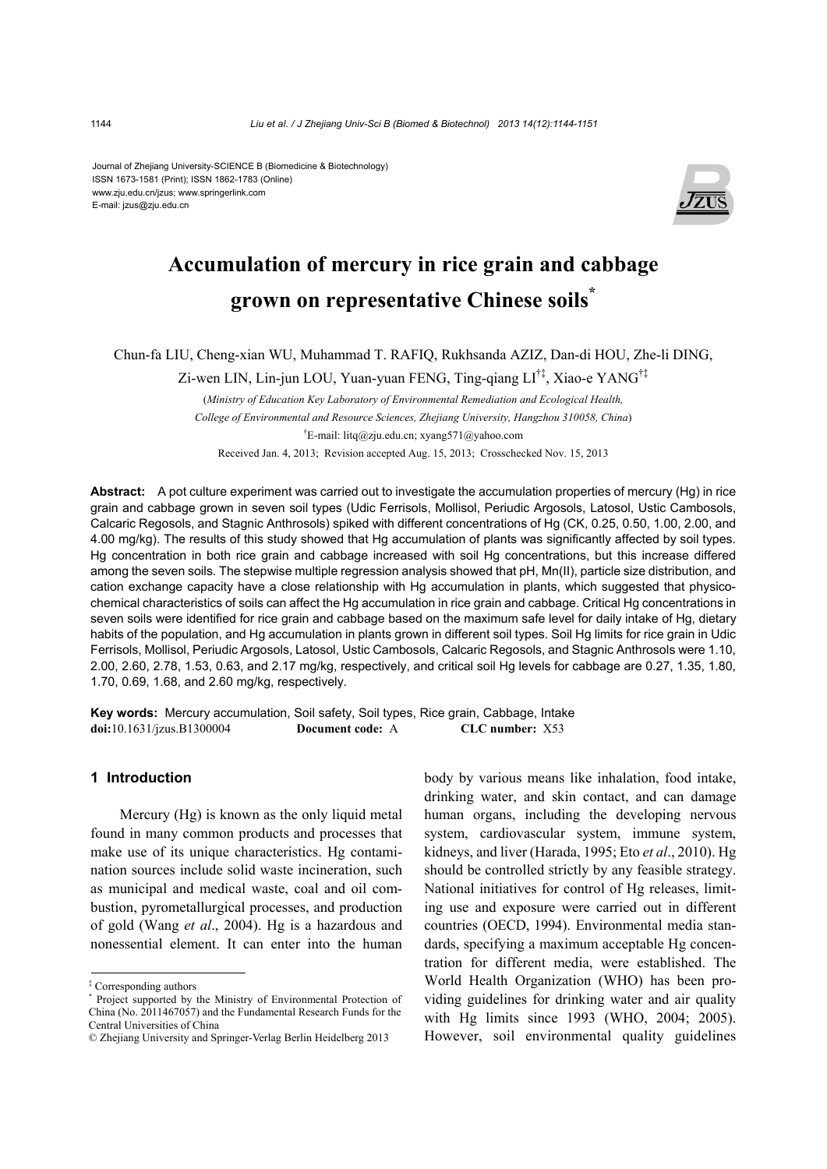Journal of Zhejiang University-SCIENCE B (Biomedicine & Biotechnology) ISSN 1673-1581 (Print); ISSN 1862-1783 (Online) www.zju.edu.cn/jzus; www.springerlink.com E-mail: jzus@zju.edu.cn



# **Accumulation of mercury in rice grain and cabbage grown on representative Chinese soils\***

Chun-fa LIU, Cheng-xian WU, Muhammad T. RAFIQ, Rukhsanda AZIZ, Dan-di HOU, Zhe-li DING,

Zi-wen LIN, Lin-jun LOU, Yuan-yuan FENG, Ting-qiang LI†‡, Xiao-e YANG†‡

(*Ministry of Education Key Laboratory of Environmental Remediation and Ecological Health, College of Environmental and Resource Sciences, Zhejiang University, Hangzhou 310058, China*) † E-mail: litq@zju.edu.cn; xyang571@yahoo.com Received Jan. 4, 2013; Revision accepted Aug. 15, 2013; Crosschecked Nov. 15, 2013

**Abstract:** A pot culture experiment was carried out to investigate the accumulation properties of mercury (Hg) in rice grain and cabbage grown in seven soil types (Udic Ferrisols, Mollisol, Periudic Argosols, Latosol, Ustic Cambosols, Calcaric Regosols, and Stagnic Anthrosols) spiked with different concentrations of Hg (CK, 0.25, 0.50, 1.00, 2.00, and 4.00 mg/kg). The results of this study showed that Hg accumulation of plants was significantly affected by soil types. Hg concentration in both rice grain and cabbage increased with soil Hg concentrations, but this increase differed among the seven soils. The stepwise multiple regression analysis showed that pH, Mn(II), particle size distribution, and cation exchange capacity have a close relationship with Hg accumulation in plants, which suggested that physicochemical characteristics of soils can affect the Hg accumulation in rice grain and cabbage. Critical Hg concentrations in seven soils were identified for rice grain and cabbage based on the maximum safe level for daily intake of Hg, dietary habits of the population, and Hg accumulation in plants grown in different soil types. Soil Hg limits for rice grain in Udic Ferrisols, Mollisol, Periudic Argosols, Latosol, Ustic Cambosols, Calcaric Regosols, and Stagnic Anthrosols were 1.10, 2.00, 2.60, 2.78, 1.53, 0.63, and 2.17 mg/kg, respectively, and critical soil Hg levels for cabbage are 0.27, 1.35, 1.80, 1.70, 0.69, 1.68, and 2.60 mg/kg, respectively.

**Key words:** Mercury accumulation, Soil safety, Soil types, Rice grain, Cabbage, Intake **doi:**10.1631/jzus.B1300004 **Document code:** A **CLC number:** X53

# **1 Introduction**

Mercury (Hg) is known as the only liquid metal found in many common products and processes that make use of its unique characteristics. Hg contamination sources include solid waste incineration, such as municipal and medical waste, coal and oil combustion, pyrometallurgical processes, and production of gold (Wang *et al*., 2004). Hg is a hazardous and nonessential element. It can enter into the human body by various means like inhalation, food intake, drinking water, and skin contact, and can damage human organs, including the developing nervous system, cardiovascular system, immune system, kidneys, and liver (Harada, 1995; Eto *et al*., 2010). Hg should be controlled strictly by any feasible strategy. National initiatives for control of Hg releases, limiting use and exposure were carried out in different countries (OECD, 1994). Environmental media standards, specifying a maximum acceptable Hg concentration for different media, were established. The World Health Organization (WHO) has been providing guidelines for drinking water and air quality with Hg limits since 1993 (WHO, 2004; 2005). However, soil environmental quality guidelines

<sup>‡</sup> Corresponding authors

<sup>\*</sup> Project supported by the Ministry of Environmental Protection of China (No. 2011467057) and the Fundamental Research Funds for the Central Universities of China

<sup>©</sup> Zhejiang University and Springer-Verlag Berlin Heidelberg 2013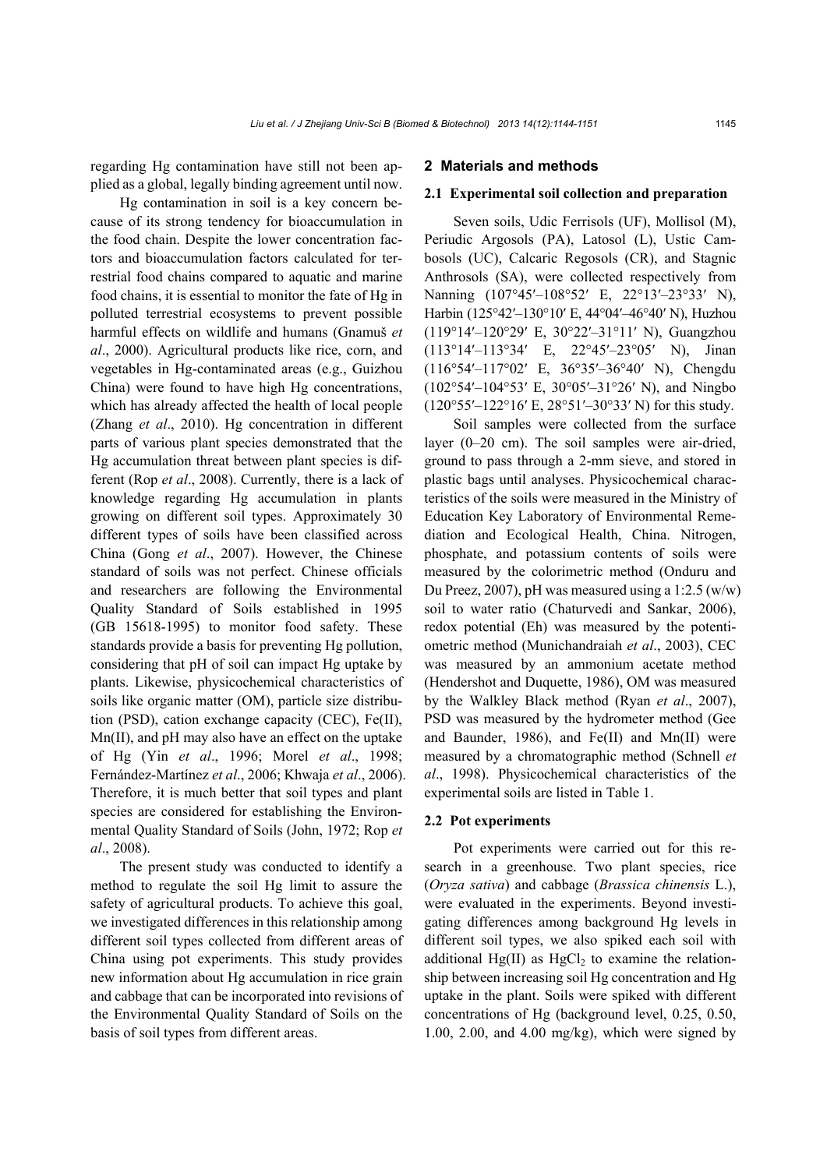regarding Hg contamination have still not been applied as a global, legally binding agreement until now.

Hg contamination in soil is a key concern because of its strong tendency for bioaccumulation in the food chain. Despite the lower concentration factors and bioaccumulation factors calculated for terrestrial food chains compared to aquatic and marine food chains, it is essential to monitor the fate of Hg in polluted terrestrial ecosystems to prevent possible harmful effects on wildlife and humans (Gnamuš *et al*., 2000). Agricultural products like rice, corn, and vegetables in Hg-contaminated areas (e.g., Guizhou China) were found to have high Hg concentrations, which has already affected the health of local people (Zhang *et al*., 2010). Hg concentration in different parts of various plant species demonstrated that the Hg accumulation threat between plant species is different (Rop *et al*., 2008). Currently, there is a lack of knowledge regarding Hg accumulation in plants growing on different soil types. Approximately 30 different types of soils have been classified across China (Gong *et al*., 2007). However, the Chinese standard of soils was not perfect. Chinese officials and researchers are following the Environmental Quality Standard of Soils established in 1995 (GB 15618-1995) to monitor food safety. These standards provide a basis for preventing Hg pollution, considering that pH of soil can impact Hg uptake by plants. Likewise, physicochemical characteristics of soils like organic matter (OM), particle size distribution (PSD), cation exchange capacity (CEC), Fe(II), Mn(II), and pH may also have an effect on the uptake of Hg (Yin *et al*., 1996; Morel *et al*., 1998; Fernández-Martínez *et al*., 2006; Khwaja *et al*., 2006). Therefore, it is much better that soil types and plant species are considered for establishing the Environmental Quality Standard of Soils (John, 1972; Rop *et al*., 2008).

The present study was conducted to identify a method to regulate the soil Hg limit to assure the safety of agricultural products. To achieve this goal, we investigated differences in this relationship among different soil types collected from different areas of China using pot experiments. This study provides new information about Hg accumulation in rice grain and cabbage that can be incorporated into revisions of the Environmental Quality Standard of Soils on the basis of soil types from different areas.

#### **2 Materials and methods**

#### **2.1 Experimental soil collection and preparation**

Seven soils, Udic Ferrisols (UF), Mollisol (M), Periudic Argosols (PA), Latosol (L), Ustic Cambosols (UC), Calcaric Regosols (CR), and Stagnic Anthrosols (SA), were collected respectively from Nanning (107°45′–108°52′ E, 22°13′–23°33′ N), Harbin (125°42′–130°10′ E, 44°04′–46°40′ N), Huzhou (119°14′–120°29′ E, 30°22′–31°11′ N), Guangzhou (113°14′–113°34′ E, 22°45′–23°05′ N), Jinan (116°54′–117°02′ E, 36°35′–36°40′ N), Chengdu (102°54′–104°53′ E, 30°05′–31°26′ N), and Ningbo (120°55′–122°16′ E, 28°51′–30°33′ N) for this study.

Soil samples were collected from the surface layer (0–20 cm). The soil samples were air-dried, ground to pass through a 2-mm sieve, and stored in plastic bags until analyses. Physicochemical characteristics of the soils were measured in the Ministry of Education Key Laboratory of Environmental Remediation and Ecological Health, China. Nitrogen, phosphate, and potassium contents of soils were measured by the colorimetric method (Onduru and Du Preez, 2007), pH was measured using a 1:2.5 (w/w) soil to water ratio (Chaturvedi and Sankar, 2006), redox potential (Eh) was measured by the potentiometric method (Munichandraiah *et al*., 2003), CEC was measured by an ammonium acetate method (Hendershot and Duquette, 1986), OM was measured by the Walkley Black method (Ryan *et al*., 2007), PSD was measured by the hydrometer method (Gee and Baunder, 1986), and Fe(II) and Mn(II) were measured by a chromatographic method (Schnell *et al*., 1998). Physicochemical characteristics of the experimental soils are listed in Table 1.

#### **2.2 Pot experiments**

Pot experiments were carried out for this research in a greenhouse. Two plant species, rice (*Oryza sativa*) and cabbage (*Brassica chinensis* L.), were evaluated in the experiments. Beyond investigating differences among background Hg levels in different soil types, we also spiked each soil with additional  $Hg(II)$  as  $HgCl<sub>2</sub>$  to examine the relationship between increasing soil Hg concentration and Hg uptake in the plant. Soils were spiked with different concentrations of Hg (background level, 0.25, 0.50,  $1.00$ ,  $2.00$ , and  $4.00$  mg/kg), which were signed by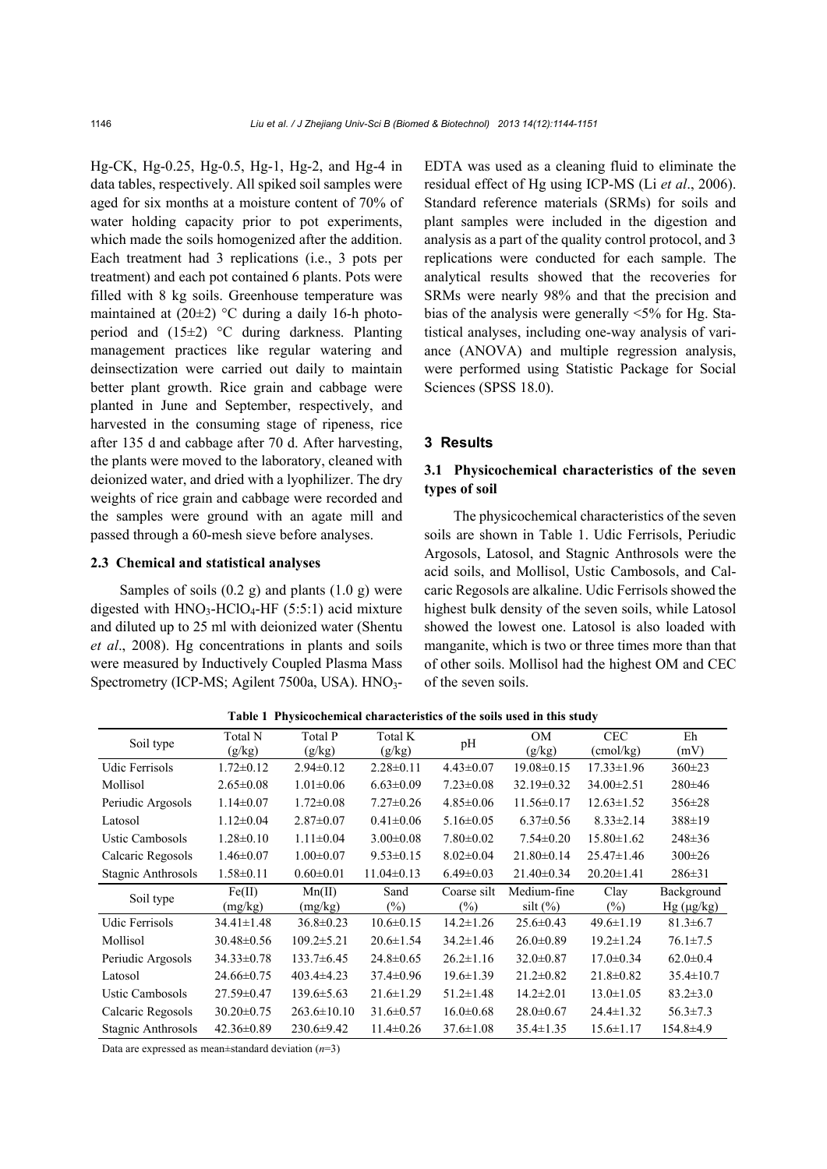Hg-CK, Hg-0.25, Hg-0.5, Hg-1, Hg-2, and Hg-4 in data tables, respectively. All spiked soil samples were aged for six months at a moisture content of 70% of water holding capacity prior to pot experiments, which made the soils homogenized after the addition. Each treatment had 3 replications (i.e., 3 pots per treatment) and each pot contained 6 plants. Pots were filled with 8 kg soils. Greenhouse temperature was maintained at  $(20\pm2)$  °C during a daily 16-h photoperiod and (15±2) °C during darkness. Planting management practices like regular watering and deinsectization were carried out daily to maintain better plant growth. Rice grain and cabbage were planted in June and September, respectively, and harvested in the consuming stage of ripeness, rice after 135 d and cabbage after 70 d. After harvesting, the plants were moved to the laboratory, cleaned with deionized water, and dried with a lyophilizer. The dry weights of rice grain and cabbage were recorded and the samples were ground with an agate mill and passed through a 60-mesh sieve before analyses.

# **2.3 Chemical and statistical analyses**

Samples of soils  $(0.2 \text{ g})$  and plants  $(1.0 \text{ g})$  were digested with  $HNO<sub>3</sub>-HClO<sub>4</sub>-HF$  (5:5:1) acid mixture and diluted up to 25 ml with deionized water (Shentu *et al*., 2008). Hg concentrations in plants and soils were measured by Inductively Coupled Plasma Mass Spectrometry (ICP-MS; Agilent 7500a, USA). HNO<sub>3</sub>-

EDTA was used as a cleaning fluid to eliminate the residual effect of Hg using ICP-MS (Li *et al*., 2006). Standard reference materials (SRMs) for soils and plant samples were included in the digestion and analysis as a part of the quality control protocol, and 3 replications were conducted for each sample. The analytical results showed that the recoveries for SRMs were nearly 98% and that the precision and bias of the analysis were generally <5% for Hg. Statistical analyses, including one-way analysis of variance (ANOVA) and multiple regression analysis, were performed using Statistic Package for Social Sciences (SPSS 18.0).

#### **3 Results**

## **3.1 Physicochemical characteristics of the seven types of soil**

The physicochemical characteristics of the seven soils are shown in Table 1. Udic Ferrisols, Periudic Argosols, Latosol, and Stagnic Anthrosols were the acid soils, and Mollisol, Ustic Cambosols, and Calcaric Regosols are alkaline. Udic Ferrisols showed the highest bulk density of the seven soils, while Latosol showed the lowest one. Latosol is also loaded with manganite, which is two or three times more than that of other soils. Mollisol had the highest OM and CEC of the seven soils.

| Soil type          | Total N<br>(g/kg) | Total P<br>(g/kg) | Total K<br>(g/kg) | pH              | OМ<br>(g/kg)     | <b>CEC</b><br>$\text{(cmol/kg)}$ | Eh<br>(mV)      |  |  |  |  |  |  |
|--------------------|-------------------|-------------------|-------------------|-----------------|------------------|----------------------------------|-----------------|--|--|--|--|--|--|
| Udic Ferrisols     | $1.72 \pm 0.12$   | $2.94 \pm 0.12$   | $2.28 \pm 0.11$   | $4.43 \pm 0.07$ | $19.08 \pm 0.15$ | $17.33 \pm 1.96$                 | $360 \pm 23$    |  |  |  |  |  |  |
| Mollisol           | $2.65 \pm 0.08$   | $1.01 \pm 0.06$   | $6.63 \pm 0.09$   | $7.23 \pm 0.08$ | $32.19 \pm 0.32$ | 34.00 ± 2.51                     | $280 \pm 46$    |  |  |  |  |  |  |
| Periudic Argosols  | $1.14 \pm 0.07$   | $1.72 \pm 0.08$   | $7.27 \pm 0.26$   | $4.85 \pm 0.06$ | $11.56 \pm 0.17$ | $12.63 \pm 1.52$                 | $356 \pm 28$    |  |  |  |  |  |  |
| Latosol            | $1.12 \pm 0.04$   | $2.87 \pm 0.07$   | $0.41 \pm 0.06$   | $5.16 \pm 0.05$ | $6.37 \pm 0.56$  | $8.33 \pm 2.14$                  | $388 \pm 19$    |  |  |  |  |  |  |
| Ustic Cambosols    | $1.28 \pm 0.10$   | $1.11 \pm 0.04$   | $3.00 \pm 0.08$   | $7.80 \pm 0.02$ | $7.54 \pm 0.20$  | $15.80 \pm 1.62$                 | $248 \pm 36$    |  |  |  |  |  |  |
| Calcaric Regosols  | $1.46 \pm 0.07$   | $1.00 \pm 0.07$   | $9.53 \pm 0.15$   | $8.02 \pm 0.04$ | $21.80 \pm 0.14$ | $25.47 \pm 1.46$                 | $300 \pm 26$    |  |  |  |  |  |  |
| Stagnic Anthrosols | $1.58 \pm 0.11$   | $0.60 \pm 0.01$   | $11.04 \pm 0.13$  | $6.49 \pm 0.03$ | $21.40\pm0.34$   | $20.20 \pm 1.41$                 | $286 \pm 31$    |  |  |  |  |  |  |
| Soil type          | Fe(II)            | Mn(II)            | Sand              | Coarse silt     | Medium-fine      | Clay                             | Background      |  |  |  |  |  |  |
|                    | (mg/kg)           | (mg/kg)           | $(\%)$            | (%)             | $silt (\%)$      | $(\%)$                           | $Hg(\mu g/kg)$  |  |  |  |  |  |  |
| Udic Ferrisols     | $34.41 \pm 1.48$  | $36.8 \pm 0.23$   | $10.6 \pm 0.15$   | $14.2 \pm 1.26$ | $25.6 \pm 0.43$  | $49.6 \pm 1.19$                  | $81.3 \pm 6.7$  |  |  |  |  |  |  |
| Mollisol           | $30.48 \pm 0.56$  | $109.2 \pm 5.21$  | $20.6 \pm 1.54$   | $34.2 \pm 1.46$ | $26.0 \pm 0.89$  | $19.2 \pm 1.24$                  | $76.1 \pm 7.5$  |  |  |  |  |  |  |
| Periudic Argosols  | $34.33 \pm 0.78$  | $133.7 \pm 6.45$  | $24.8 \pm 0.65$   | $26.2 \pm 1.16$ | $32.0 \pm 0.87$  | $17.0 \pm 0.34$                  | $62.0 \pm 0.4$  |  |  |  |  |  |  |
| Latosol            | $24.66 \pm 0.75$  | $403.4\pm4.23$    | $37.4 \pm 0.96$   | $19.6 \pm 1.39$ | $21.2 \pm 0.82$  | $21.8 \pm 0.82$                  | $35.4 \pm 10.7$ |  |  |  |  |  |  |
| Ustic Cambosols    | $27.59 \pm 0.47$  | $139.6 \pm 5.63$  | $21.6 \pm 1.29$   | $51.2 \pm 1.48$ | $14.2 \pm 2.01$  | $13.0 \pm 1.05$                  | $83.2 \pm 3.0$  |  |  |  |  |  |  |
| Calcaric Regosols  | $30.20 \pm 0.75$  | $263.6 \pm 10.10$ | $31.6 \pm 0.57$   | $16.0 \pm 0.68$ | $28.0 \pm 0.67$  | $24.4 \pm 1.32$                  | $56.3 \pm 7.3$  |  |  |  |  |  |  |

**Table 1 Physicochemical characteristics of the soils used in this study**

Data are expressed as mean±standard deviation (*n*=3)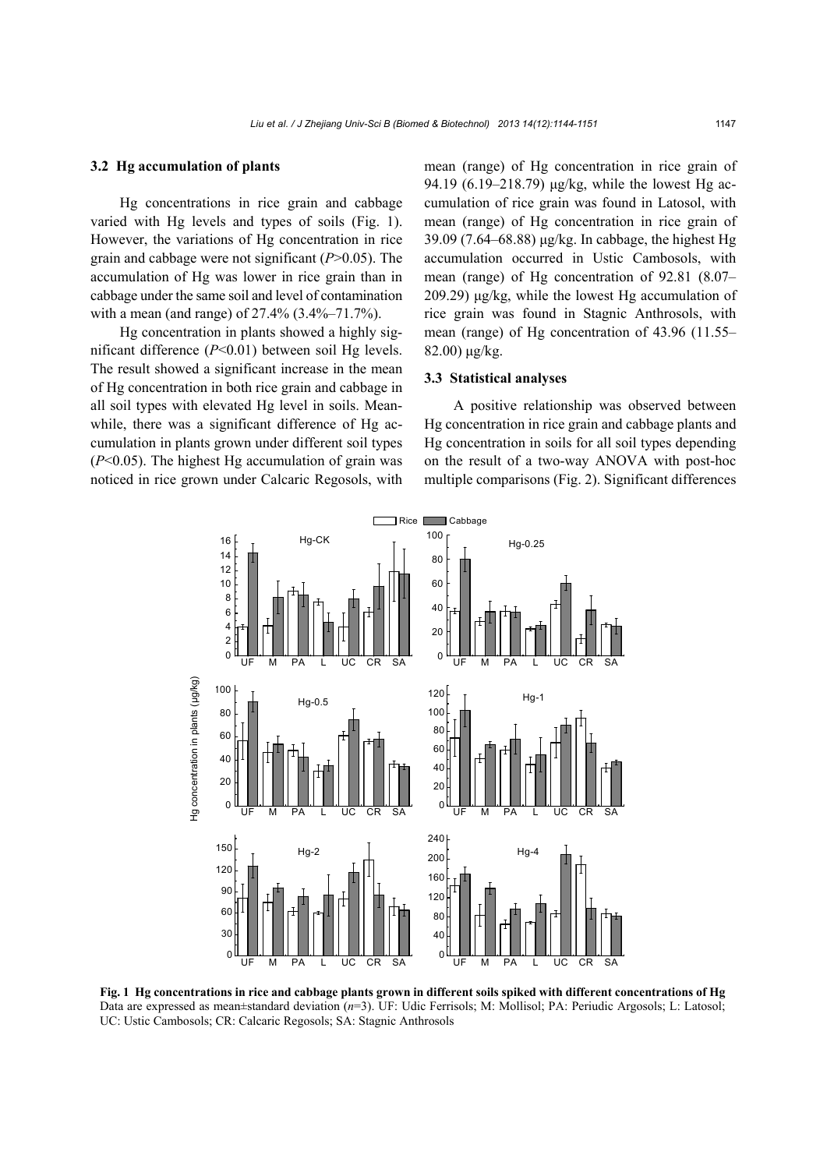#### **3.2 Hg accumulation of plants**

Hg concentrations in rice grain and cabbage varied with Hg levels and types of soils (Fig. 1). However, the variations of Hg concentration in rice grain and cabbage were not significant (*P*>0.05). The accumulation of Hg was lower in rice grain than in cabbage under the same soil and level of contamination with a mean (and range) of 27.4% (3.4%–71.7%).

Hg concentration in plants showed a highly significant difference (*P*<0.01) between soil Hg levels. The result showed a significant increase in the mean of Hg concentration in both rice grain and cabbage in all soil types with elevated Hg level in soils. Meanwhile, there was a significant difference of Hg accumulation in plants grown under different soil types (*P*<0.05). The highest Hg accumulation of grain was noticed in rice grown under Calcaric Regosols, with

mean (range) of Hg concentration in rice grain of 94.19 (6.19–218.79) μg/kg, while the lowest Hg accumulation of rice grain was found in Latosol, with mean (range) of Hg concentration in rice grain of 39.09 (7.64–68.88) μg/kg. In cabbage, the highest Hg accumulation occurred in Ustic Cambosols, with mean (range) of Hg concentration of 92.81 (8.07– 209.29) μg/kg, while the lowest Hg accumulation of rice grain was found in Stagnic Anthrosols, with mean (range) of Hg concentration of 43.96 (11.55– 82.00) μg/kg.

#### **3.3 Statistical analyses**

A positive relationship was observed between Hg concentration in rice grain and cabbage plants and Hg concentration in soils for all soil types depending on the result of a two-way ANOVA with post-hoc multiple comparisons (Fig. 2). Significant differences



**Fig. 1 Hg concentrations in rice and cabbage plants grown in different soils spiked with different concentrations of Hg** Data are expressed as mean±standard deviation (*n*=3). UF: Udic Ferrisols; M: Mollisol; PA: Periudic Argosols; L: Latosol; UC: Ustic Cambosols; CR: Calcaric Regosols; SA: Stagnic Anthrosols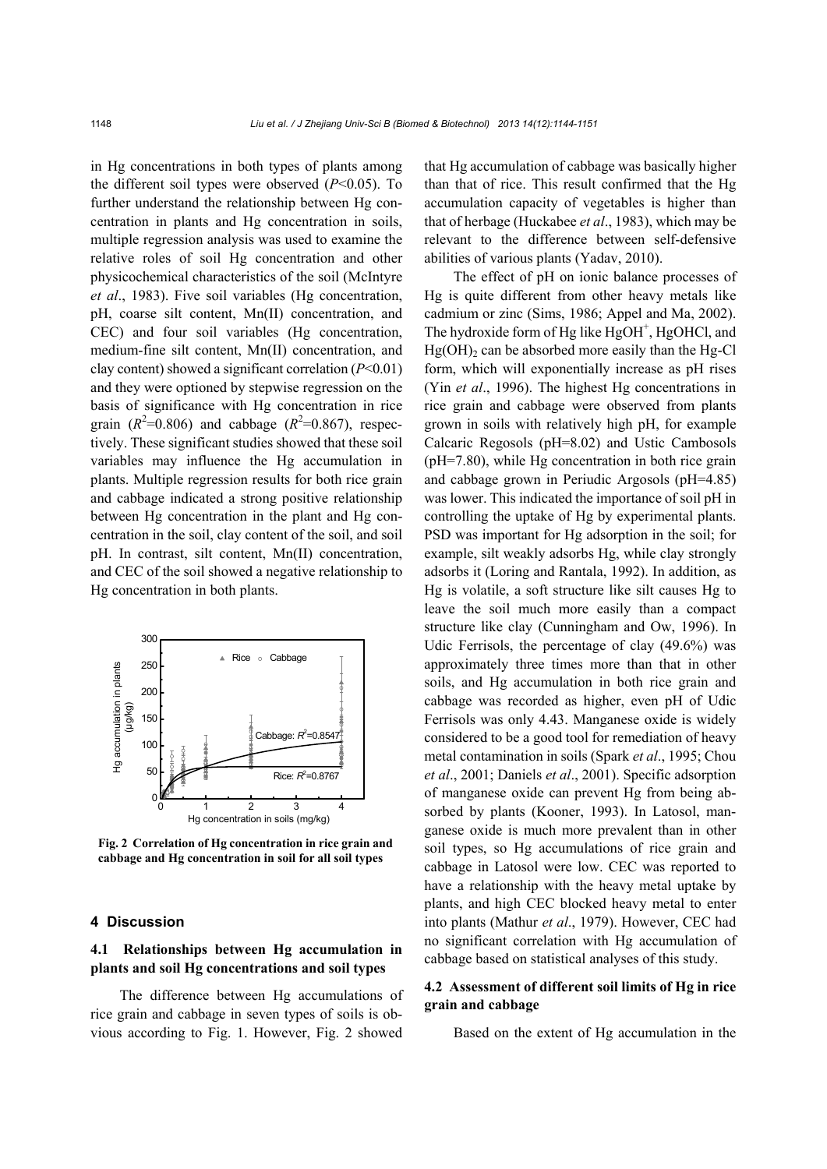in Hg concentrations in both types of plants among the different soil types were observed (*P*<0.05). To further understand the relationship between Hg concentration in plants and Hg concentration in soils, multiple regression analysis was used to examine the relative roles of soil Hg concentration and other physicochemical characteristics of the soil (McIntyre *et al*., 1983). Five soil variables (Hg concentration, pH, coarse silt content, Mn(II) concentration, and CEC) and four soil variables (Hg concentration, medium-fine silt content, Mn(II) concentration, and clay content) showed a significant correlation (*P*<0.01) and they were optioned by stepwise regression on the basis of significance with Hg concentration in rice grain  $(R^2=0.806)$  and cabbage  $(R^2=0.867)$ , respectively. These significant studies showed that these soil variables may influence the Hg accumulation in plants. Multiple regression results for both rice grain and cabbage indicated a strong positive relationship between Hg concentration in the plant and Hg concentration in the soil, clay content of the soil, and soil pH. In contrast, silt content, Mn(II) concentration, and CEC of the soil showed a negative relationship to Hg concentration in both plants.



**Fig. 2 Correlation of Hg concentration in rice grain and** 

#### **4 Discussion**

# **4.1 Relationships between Hg accumulation in plants and soil Hg concentrations and soil types**

The difference between Hg accumulations of rice grain and cabbage in seven types of soils is obvious according to Fig. 1. However, Fig. 2 showed

that Hg accumulation of cabbage was basically higher than that of rice. This result confirmed that the Hg accumulation capacity of vegetables is higher than that of herbage (Huckabee *et al*., 1983), which may be relevant to the difference between self-defensive abilities of various plants (Yadav, 2010).

The effect of pH on ionic balance processes of Hg is quite different from other heavy metals like cadmium or zinc (Sims, 1986; Appel and Ma, 2002). The hydroxide form of Hg like HgOH<sup>+</sup>, HgOHCl, and  $Hg(OH)$ <sub>2</sub> can be absorbed more easily than the Hg-Cl form, which will exponentially increase as pH rises (Yin *et al*., 1996). The highest Hg concentrations in rice grain and cabbage were observed from plants grown in soils with relatively high pH, for example Calcaric Regosols (pH=8.02) and Ustic Cambosols (pH=7.80), while Hg concentration in both rice grain and cabbage grown in Periudic Argosols (pH=4.85) was lower. This indicated the importance of soil pH in controlling the uptake of Hg by experimental plants. PSD was important for Hg adsorption in the soil; for example, silt weakly adsorbs Hg, while clay strongly adsorbs it (Loring and Rantala, 1992). In addition, as Hg is volatile, a soft structure like silt causes Hg to leave the soil much more easily than a compact structure like clay (Cunningham and Ow, 1996). In Udic Ferrisols, the percentage of clay (49.6%) was approximately three times more than that in other soils, and Hg accumulation in both rice grain and cabbage was recorded as higher, even pH of Udic Ferrisols was only 4.43. Manganese oxide is widely considered to be a good tool for remediation of heavy metal contamination in soils (Spark *et al*., 1995; Chou *et al*., 2001; Daniels *et al*., 2001). Specific adsorption of manganese oxide can prevent Hg from being absorbed by plants (Kooner, 1993). In Latosol, manganese oxide is much more prevalent than in other soil types, so Hg accumulations of rice grain and cabbage in Latosol were low. CEC was reported to have a relationship with the heavy metal uptake by plants, and high CEC blocked heavy metal to enter into plants (Mathur *et al*., 1979). However, CEC had no significant correlation with Hg accumulation of cabbage based on statistical analyses of this study.

# **4.2 Assessment of different soil limits of Hg in rice grain and cabbage**

Based on the extent of Hg accumulation in the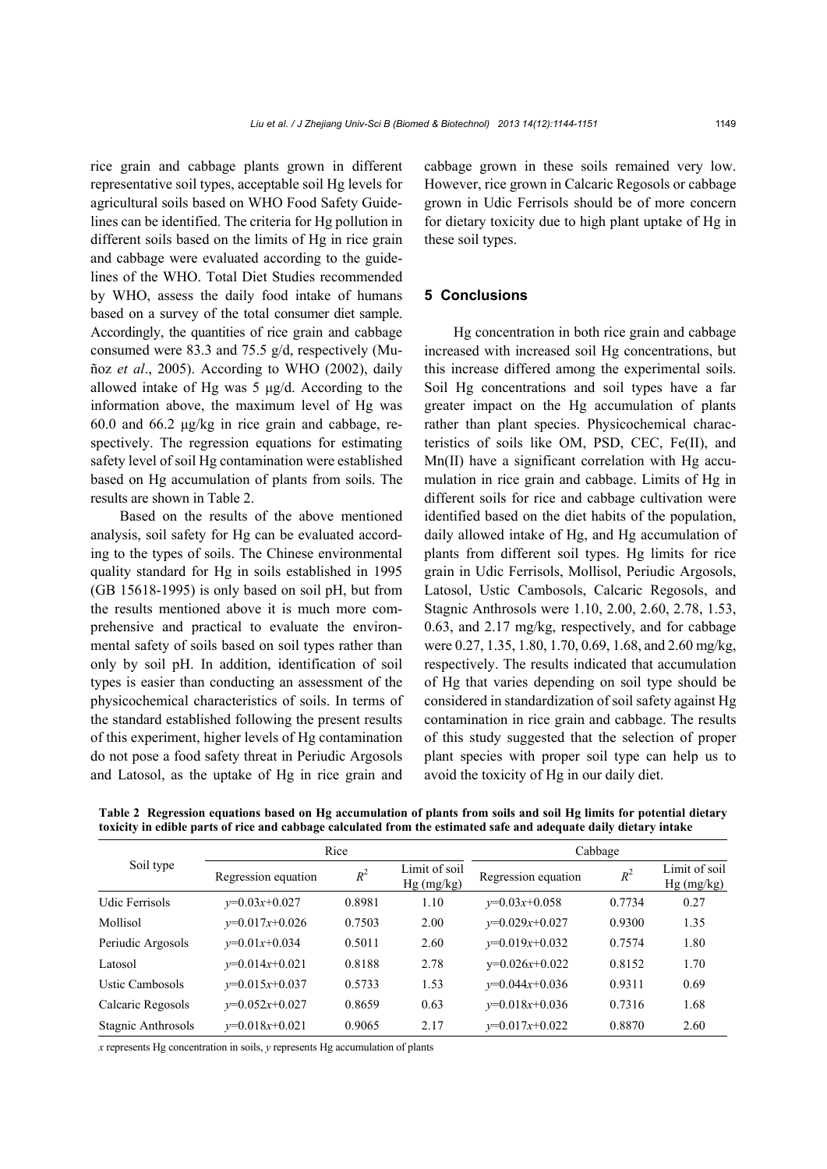rice grain and cabbage plants grown in different representative soil types, acceptable soil Hg levels for agricultural soils based on WHO Food Safety Guidelines can be identified. The criteria for Hg pollution in different soils based on the limits of Hg in rice grain and cabbage were evaluated according to the guidelines of the WHO. Total Diet Studies recommended by WHO, assess the daily food intake of humans based on a survey of the total consumer diet sample. Accordingly, the quantities of rice grain and cabbage consumed were 83.3 and 75.5 g/d, respectively (Muñoz *et al*., 2005). According to WHO (2002), daily allowed intake of Hg was 5 μg/d. According to the information above, the maximum level of Hg was 60.0 and 66.2 μg/kg in rice grain and cabbage, respectively. The regression equations for estimating safety level of soil Hg contamination were established based on Hg accumulation of plants from soils. The results are shown in Table 2.

Based on the results of the above mentioned analysis, soil safety for Hg can be evaluated according to the types of soils. The Chinese environmental quality standard for Hg in soils established in 1995 (GB 15618-1995) is only based on soil pH, but from the results mentioned above it is much more comprehensive and practical to evaluate the environmental safety of soils based on soil types rather than only by soil pH. In addition, identification of soil types is easier than conducting an assessment of the physicochemical characteristics of soils. In terms of the standard established following the present results of this experiment, higher levels of Hg contamination do not pose a food safety threat in Periudic Argosols and Latosol, as the uptake of Hg in rice grain and

cabbage grown in these soils remained very low. However, rice grown in Calcaric Regosols or cabbage grown in Udic Ferrisols should be of more concern for dietary toxicity due to high plant uptake of Hg in these soil types.

## **5 Conclusions**

Hg concentration in both rice grain and cabbage increased with increased soil Hg concentrations, but this increase differed among the experimental soils. Soil Hg concentrations and soil types have a far greater impact on the Hg accumulation of plants rather than plant species. Physicochemical characteristics of soils like OM, PSD, CEC, Fe(II), and Mn(II) have a significant correlation with Hg accumulation in rice grain and cabbage. Limits of Hg in different soils for rice and cabbage cultivation were identified based on the diet habits of the population, daily allowed intake of Hg, and Hg accumulation of plants from different soil types. Hg limits for rice grain in Udic Ferrisols, Mollisol, Periudic Argosols, Latosol, Ustic Cambosols, Calcaric Regosols, and Stagnic Anthrosols were 1.10, 2.00, 2.60, 2.78, 1.53, 0.63, and 2.17 mg/kg, respectively, and for cabbage were 0.27, 1.35, 1.80, 1.70, 0.69, 1.68, and 2.60 mg/kg, respectively. The results indicated that accumulation of Hg that varies depending on soil type should be considered in standardization of soil safety against Hg contamination in rice grain and cabbage. The results of this study suggested that the selection of proper plant species with proper soil type can help us to avoid the toxicity of Hg in our daily diet.

| Soil type          |                     | Rice   |                               | Cabbage             |        |                               |  |
|--------------------|---------------------|--------|-------------------------------|---------------------|--------|-------------------------------|--|
|                    | Regression equation | $R^2$  | Limit of soil<br>$Hg$ (mg/kg) | Regression equation | $R^2$  | Limit of soil<br>$Hg$ (mg/kg) |  |
| Udic Ferrisols     | $v=0.03x+0.027$     | 0.8981 | 1.10                          | $v=0.03x+0.058$     | 0.7734 | 0.27                          |  |
| Mollisol           | $v=0.017x+0.026$    | 0.7503 | 2.00                          | $v=0.029x+0.027$    | 0.9300 | 1.35                          |  |
| Periudic Argosols  | $v=0.01x+0.034$     | 0.5011 | 2.60                          | $v=0.019x+0.032$    | 0.7574 | 1.80                          |  |
| Latosol            | $v=0.014x+0.021$    | 0.8188 | 2.78                          | $y=0.026x+0.022$    | 0.8152 | 1.70                          |  |
| Ustic Cambosols    | $v=0.015x+0.037$    | 0.5733 | 1.53                          | $v=0.044x+0.036$    | 0.9311 | 0.69                          |  |
| Calcaric Regosols  | $v=0.052x+0.027$    | 0.8659 | 0.63                          | $v=0.018x+0.036$    | 0.7316 | 1.68                          |  |
| Stagnic Anthrosols | $v=0.018x+0.021$    | 0.9065 | 2.17                          | $v=0.017x+0.022$    | 0.8870 | 2.60                          |  |

**Table 2 Regression equations based on Hg accumulation of plants from soils and soil Hg limits for potential dietary toxicity in edible parts of rice and cabbage calculated from the estimated safe and adequate daily dietary intake**

*x* represents Hg concentration in soils, *y* represents Hg accumulation of plants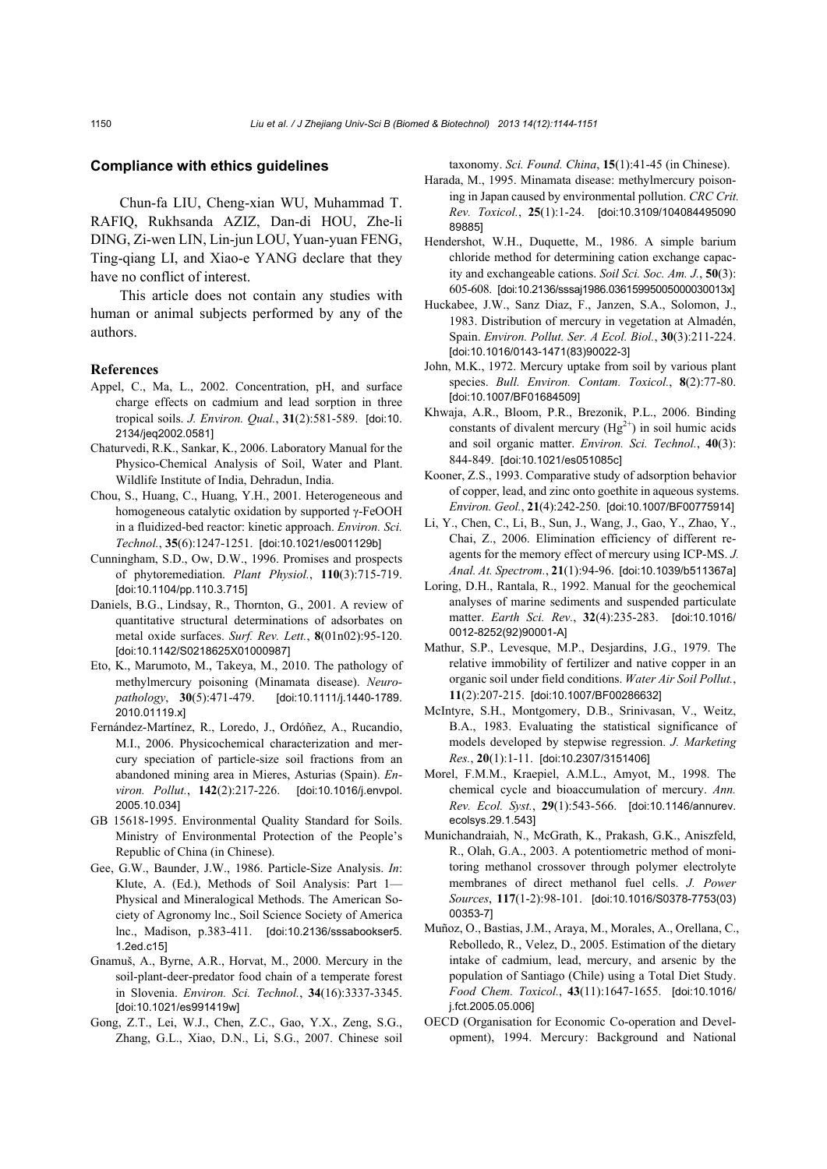#### **Compliance with ethics guidelines**

Chun-fa LIU, Cheng-xian WU, Muhammad T. RAFIQ, Rukhsanda AZIZ, Dan-di HOU, Zhe-li DING, Zi-wen LIN, Lin-jun LOU, Yuan-yuan FENG, Ting-qiang LI, and Xiao-e YANG declare that they have no conflict of interest.

This article does not contain any studies with human or animal subjects performed by any of the authors.

#### **References**

- Appel, C., Ma, L., 2002. Concentration, pH, and surface charge effects on cadmium and lead sorption in three tropical soils. *J. Environ. Qual.*, **31**(2):581-589. [doi:10. 2134/jeq2002.0581]
- Chaturvedi, R.K., Sankar, K., 2006. Laboratory Manual for the Physico-Chemical Analysis of Soil, Water and Plant. Wildlife Institute of India, Dehradun, India.
- Chou, S., Huang, C., Huang, Y.H., 2001. Heterogeneous and homogeneous catalytic oxidation by supported γ-FeOOH in a fluidized-bed reactor: kinetic approach. *Environ. Sci. Technol.*, **35**(6):1247-1251. [doi:10.1021/es001129b]
- Cunningham, S.D., Ow, D.W., 1996. Promises and prospects of phytoremediation. *Plant Physiol.*, **110**(3):715-719. [doi:10.1104/pp.110.3.715]
- Daniels, B.G., Lindsay, R., Thornton, G., 2001. A review of quantitative structural determinations of adsorbates on metal oxide surfaces. *Surf. Rev. Lett.*, **8**(01n02):95-120. [doi:10.1142/S0218625X01000987]
- Eto, K., Marumoto, M., Takeya, M., 2010. The pathology of methylmercury poisoning (Minamata disease). *Neuropathology*, **30**(5):471-479. [doi:10.1111/j.1440-1789. 2010.01119.x]
- Fernández-Martínez, R., Loredo, J., Ordóñez, A., Rucandio, M.I., 2006. Physicochemical characterization and mercury speciation of particle-size soil fractions from an abandoned mining area in Mieres, Asturias (Spain). *Environ. Pollut.*, **142**(2):217-226. [doi:10.1016/j.envpol. 2005.10.034]
- GB 15618-1995. Environmental Quality Standard for Soils. Ministry of Environmental Protection of the People's Republic of China (in Chinese).
- Gee, G.W., Baunder, J.W., 1986. Particle-Size Analysis. *In*: Klute, A. (Ed.), Methods of Soil Analysis: Part 1— Physical and Mineralogical Methods. The American Society of Agronomy lnc., Soil Science Society of America lnc., Madison, p.383-411. [doi:10.2136/sssabookser5. 1.2ed.c15]
- Gnamuš, A., Byrne, A.R., Horvat, M., 2000. Mercury in the soil-plant-deer-predator food chain of a temperate forest in Slovenia. *Environ. Sci. Technol.*, **34**(16):3337-3345. [doi:10.1021/es991419w]
- Gong, Z.T., Lei, W.J., Chen, Z.C., Gao, Y.X., Zeng, S.G., Zhang, G.L., Xiao, D.N., Li, S.G., 2007. Chinese soil

taxonomy. *Sci. Found. China*, **15**(1):41-45 (in Chinese).

- Harada, M., 1995. Minamata disease: methylmercury poisoning in Japan caused by environmental pollution. *CRC Crit. Rev. Toxicol.*, **25**(1):1-24. [doi:10.3109/104084495090 89885]
- Hendershot, W.H., Duquette, M., 1986. A simple barium chloride method for determining cation exchange capacity and exchangeable cations. *Soil Sci. Soc. Am. J.*, **50**(3): 605-608. [doi:10.2136/sssaj1986.03615995005000030013x]
- Huckabee, J.W., Sanz Diaz, F., Janzen, S.A., Solomon, J., 1983. Distribution of mercury in vegetation at Almadén, Spain. *Environ. Pollut. Ser. A Ecol. Biol.*, **30**(3):211-224. [doi:10.1016/0143-1471(83)90022-3]
- John, M.K., 1972. Mercury uptake from soil by various plant species. *Bull. Environ. Contam. Toxicol.*, **8**(2):77-80. [doi:10.1007/BF01684509]
- Khwaja, A.R., Bloom, P.R., Brezonik, P.L., 2006. Binding constants of divalent mercury  $(Hg^{2+})$  in soil humic acids and soil organic matter. *Environ. Sci. Technol.*, **40**(3): 844-849. [doi:10.1021/es051085c]
- Kooner, Z.S., 1993. Comparative study of adsorption behavior of copper, lead, and zinc onto goethite in aqueous systems. *Environ. Geol.*, **21**(4):242-250. [doi:10.1007/BF00775914]
- Li, Y., Chen, C., Li, B., Sun, J., Wang, J., Gao, Y., Zhao, Y., Chai, Z., 2006. Elimination efficiency of different reagents for the memory effect of mercury using ICP-MS. *J. Anal. At. Spectrom.*, **21**(1):94-96. [doi:10.1039/b511367a]
- Loring, D.H., Rantala, R., 1992. Manual for the geochemical analyses of marine sediments and suspended particulate matter. *Earth Sci. Rev.*, **32**(4):235-283. [doi:10.1016/ 0012-8252(92)90001-A]
- Mathur, S.P., Levesque, M.P., Desjardins, J.G., 1979. The relative immobility of fertilizer and native copper in an organic soil under field conditions. *Water Air Soil Pollut.*, **11**(2):207-215. [doi:10.1007/BF00286632]
- McIntyre, S.H., Montgomery, D.B., Srinivasan, V., Weitz, B.A., 1983. Evaluating the statistical significance of models developed by stepwise regression. *J. Marketing Res.*, **20**(1):1-11. [doi:10.2307/3151406]
- Morel, F.M.M., Kraepiel, A.M.L., Amyot, M., 1998. The chemical cycle and bioaccumulation of mercury. *Ann. Rev. Ecol. Syst.*, **29**(1):543-566. [doi:10.1146/annurev. ecolsys.29.1.543]
- Munichandraiah, N., McGrath, K., Prakash, G.K., Aniszfeld, R., Olah, G.A., 2003. A potentiometric method of monitoring methanol crossover through polymer electrolyte membranes of direct methanol fuel cells. *J. Power Sources*, **117**(1-2):98-101. [doi:10.1016/S0378-7753(03) 00353-7]
- Muñoz, O., Bastias, J.M., Araya, M., Morales, A., Orellana, C., Rebolledo, R., Velez, D., 2005. Estimation of the dietary intake of cadmium, lead, mercury, and arsenic by the population of Santiago (Chile) using a Total Diet Study. *Food Chem. Toxicol.*, **43**(11):1647-1655. [doi:10.1016/ j.fct.2005.05.006]
- OECD (Organisation for Economic Co-operation and Development), 1994. Mercury: Background and National